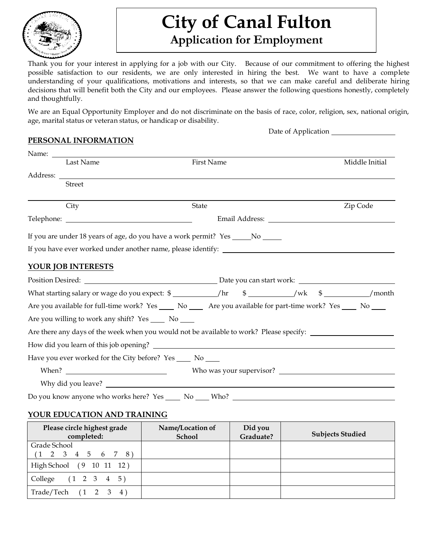

# **City of Canal Fulton**

# **Application for Employment**

Thank you for your interest in applying for a job with our City. Because of our commitment to offering the highest possible satisfaction to our residents, we are only interested in hiring the best. We want to have a complete understanding of your qualifications, motivations and interests, so that we can make careful and deliberate hiring decisions that will benefit both the City and our employees. Please answer the following questions honestly, completely and thoughtfully.

We are an Equal Opportunity Employer and do not discriminate on the basis of race, color, religion, sex, national origin, age, marital status or veteran status, or handicap or disability.

Date of Application \_\_

### **PERSONAL INFORMATION**

| Last Name                                                                                                         | First Name   |  | Middle Initial |
|-------------------------------------------------------------------------------------------------------------------|--------------|--|----------------|
|                                                                                                                   |              |  |                |
| <b>Street</b>                                                                                                     |              |  |                |
| City                                                                                                              | <b>State</b> |  | Zip Code       |
|                                                                                                                   |              |  |                |
| If you are under 18 years of age, do you have a work permit? Yes ______ No ______                                 |              |  |                |
|                                                                                                                   |              |  |                |
| <b>YOUR JOB INTERESTS</b>                                                                                         |              |  |                |
|                                                                                                                   |              |  |                |
| What starting salary or wage do you expect: \$ ____________/hr \$ ___________/wk \$ ___________/month             |              |  |                |
| Are you available for full-time work? Yes _____ No ______ Are you available for part-time work? Yes _____ No ____ |              |  |                |
| Are you willing to work any shift? Yes ______ No _____                                                            |              |  |                |
| Are there any days of the week when you would not be available to work? Please specify: ______________________    |              |  |                |
| How did you learn of this job opening?                                                                            |              |  |                |
| Have you ever worked for the City before? Yes _____ No ____                                                       |              |  |                |
|                                                                                                                   |              |  |                |
|                                                                                                                   |              |  |                |
| Do you know anyone who works here? Yes ______ No _____ Who? ___                                                   |              |  |                |

### **YOUR EDUCATION AND TRAINING**

| Please circle highest grade<br>completed: | Name/Location of<br>School | Did you<br>Graduate? | <b>Subjects Studied</b> |
|-------------------------------------------|----------------------------|----------------------|-------------------------|
| Grade School                              |                            |                      |                         |
| $(1 \t2 \t3 \t4 \t5 \t6 \t7 \t8)$         |                            |                      |                         |
| High School (9 10 11 12)                  |                            |                      |                         |
| College (1 2 3 4 5)                       |                            |                      |                         |
| Trade/Techn (1 2 3 4)                     |                            |                      |                         |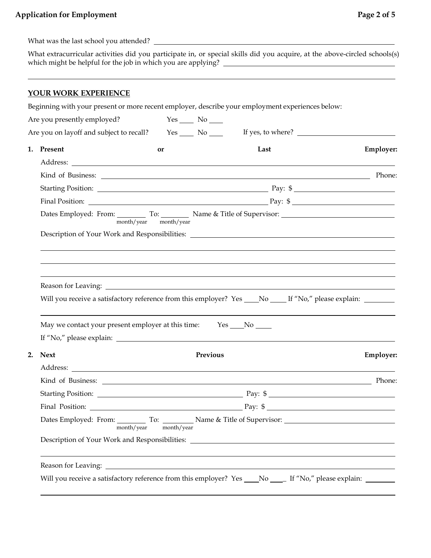### **Application for Employment Page 2 of 5**

What was the last school you attended?

What extracurricular activities did you participate in, or special skills did you acquire, at the above-circled schools(s) which might be helpful for the job in which you are applying?

### **YOUR WORK EXPERIENCE**

Beginning with your present or more recent employer, describe your employment experiences below:

| Are you presently employed?                                                                                                                                                                                                   | $Yes$ No $\_\_$       |                   |                  |
|-------------------------------------------------------------------------------------------------------------------------------------------------------------------------------------------------------------------------------|-----------------------|-------------------|------------------|
| Are you on layoff and subject to recall?                                                                                                                                                                                      | $Yes$ No $\_\_$       | If yes, to where? |                  |
| 1. Present                                                                                                                                                                                                                    | or                    | Last              | Employer:        |
|                                                                                                                                                                                                                               |                       |                   |                  |
|                                                                                                                                                                                                                               |                       |                   |                  |
|                                                                                                                                                                                                                               |                       |                   |                  |
|                                                                                                                                                                                                                               |                       |                   |                  |
|                                                                                                                                                                                                                               | month/year month/year |                   |                  |
|                                                                                                                                                                                                                               |                       |                   |                  |
|                                                                                                                                                                                                                               |                       |                   |                  |
|                                                                                                                                                                                                                               |                       |                   |                  |
|                                                                                                                                                                                                                               |                       |                   |                  |
| Will you receive a satisfactory reference from this employer? Yes ____No _____If "No," please explain: _______                                                                                                                |                       |                   |                  |
| May we contact your present employer at this time: Yes _____No ______                                                                                                                                                         |                       |                   |                  |
| 2.<br><b>Next</b>                                                                                                                                                                                                             | Previous              |                   | <b>Employer:</b> |
|                                                                                                                                                                                                                               |                       |                   |                  |
|                                                                                                                                                                                                                               |                       |                   |                  |
| Starting Position: Pay: \$                                                                                                                                                                                                    |                       |                   |                  |
|                                                                                                                                                                                                                               |                       |                   |                  |
| Dates Employed: From: To: Name & Title of Supervisor: Name & Title of Supervisor:                                                                                                                                             | month/year month/year |                   |                  |
| Description of Your Work and Responsibilities: __________________________________                                                                                                                                             |                       |                   |                  |
| Reason for Leaving: 1988. The Contract of the Contract of the Contract of the Contract of the Contract of the Contract of the Contract of the Contract of the Contract of the Contract of the Contract of the Contract of the |                       |                   |                  |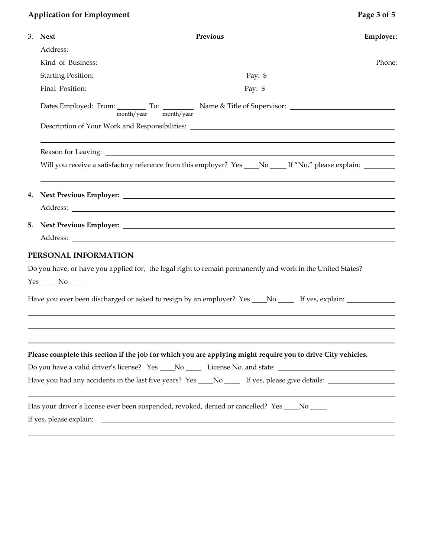## **Application for Employment Page 3 of 5**

|  | 3. Next                 | Previous                                                                                                              | Employer: |  |  |  |  |
|--|-------------------------|-----------------------------------------------------------------------------------------------------------------------|-----------|--|--|--|--|
|  |                         |                                                                                                                       |           |  |  |  |  |
|  |                         |                                                                                                                       |           |  |  |  |  |
|  |                         | Starting Position: Pay: \$                                                                                            |           |  |  |  |  |
|  |                         |                                                                                                                       |           |  |  |  |  |
|  |                         | Dates Employed: From: To: To: Name & Title of Supervisor: _______________________<br>month/year month/year            |           |  |  |  |  |
|  |                         |                                                                                                                       |           |  |  |  |  |
|  |                         |                                                                                                                       |           |  |  |  |  |
|  |                         | Will you receive a satisfactory reference from this employer? Yes _____No ______If "No," please explain: ________     |           |  |  |  |  |
|  |                         |                                                                                                                       |           |  |  |  |  |
|  |                         |                                                                                                                       |           |  |  |  |  |
|  |                         |                                                                                                                       |           |  |  |  |  |
|  |                         |                                                                                                                       |           |  |  |  |  |
|  | PERSONAL INFORMATION    |                                                                                                                       |           |  |  |  |  |
|  |                         | Do you have, or have you applied for, the legal right to remain permanently and work in the United States?            |           |  |  |  |  |
|  | $Yes$ No $\_\_$         |                                                                                                                       |           |  |  |  |  |
|  |                         | Have you ever been discharged or asked to resign by an employer? Yes ___No _____ If yes, explain: ___________         |           |  |  |  |  |
|  |                         |                                                                                                                       |           |  |  |  |  |
|  |                         | Please complete this section if the job for which you are applying might require you to drive City vehicles.          |           |  |  |  |  |
|  |                         | Do you have a valid driver's license? Yes _____ No ________ License No. and state: ___________________________        |           |  |  |  |  |
|  |                         | Have you had any accidents in the last five years? Yes ___No _____ If yes, please give details: ______________        |           |  |  |  |  |
|  |                         | Has your driver's license ever been suspended, revoked, denied or cancelled? Yes ____ No ____                         |           |  |  |  |  |
|  | If yes, please explain: | <u> 1989 - Johann Harry Harry Harry Harry Harry Harry Harry Harry Harry Harry Harry Harry Harry Harry Harry Harry</u> |           |  |  |  |  |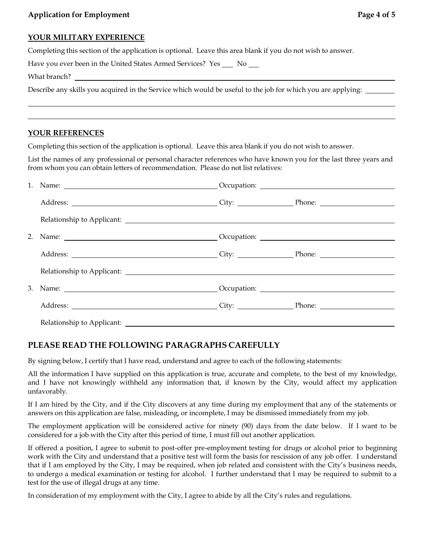#### **YOUR MILITARY EXPERIENCE**

Completing this section of the application is optional. Leave this area blank if you do not wish to answer.

Have you ever been in the United States Armed Services? Yes \_\_ No \_\_

What branch?

Describe any skills you acquired in the Service which would be useful to the job for which you are applying:

### **YOUR REFERENCES**

Completing this section of the application is optional. Leave this area blank if you do not wish to answer.

List the names of any professional or personal character references who have known you for the last three years and from whom you can obtain letters of recommendation. Please do not list relatives:

| 1. Name: <u>contract and a compare of comparison</u> Cocupation:                                                                                                                                                               |  |  |
|--------------------------------------------------------------------------------------------------------------------------------------------------------------------------------------------------------------------------------|--|--|
|                                                                                                                                                                                                                                |  |  |
| Relationship to Applicant: New York Changes and School and School and School and School and School and School and School and School and School and School and School and School and School and School and School and School an |  |  |
|                                                                                                                                                                                                                                |  |  |
|                                                                                                                                                                                                                                |  |  |
| Relationship to Applicant: New York Changes and School and School and School and School and School and School and School and School and School and School and School and School and School and School and School and School an |  |  |
|                                                                                                                                                                                                                                |  |  |
|                                                                                                                                                                                                                                |  |  |
| Relationship to Applicant:                                                                                                                                                                                                     |  |  |

### **PLEASE READ THE FOLLOWING PARAGRAPHS CAREFULLY**

By signing below, I certify that I have read, understand and agree to each of the following statements:

All the information I have supplied on this application is true, accurate and complete, to the best of my knowledge, and I have not knowingly withheld any information that, if known by the City, would affect my application unfavorably.

If I am hired by the City, and if the City discovers at any time during my employment that any of the statements or answers on this application are false, misleading, or incomplete, I may be dismissed immediately from my job.

The employment application will be considered active for ninety (90) days from the date below. If I want to be considered for a job with the City after this period of time, I must fill out another application.

If offered a position, I agree to submit to post-offer pre-employment testing for drugs or alcohol prior to beginning work with the City and understand that a positive test will form the basis for rescission of any job offer. I understand that if I am employed by the City, I may be required, when job related and consistent with the City's business needs, to undergo a medical examination or testing for alcohol. I further understand that I may be required to submit to a test for the use of illegal drugs at any time.

In consideration of my employment with the City, I agree to abide by all the City's rules and regulations.